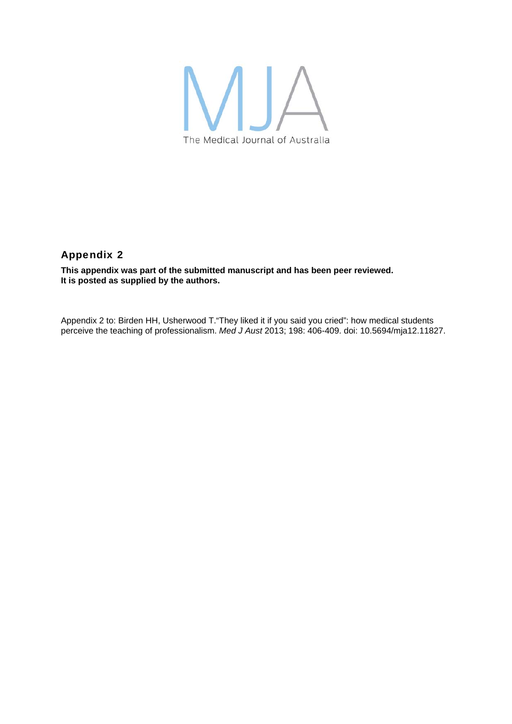

## Appendix 2

**This appendix was part of the submitted manuscript and has been peer reviewed. It is posted as supplied by the authors.** 

Appendix 2 to: Birden HH, Usherwood T."They liked it if you said you cried": how medical students perceive the teaching of professionalism. *Med J Aust* 2013; 198: 406-409. doi: 10.5694/mja12.11827.